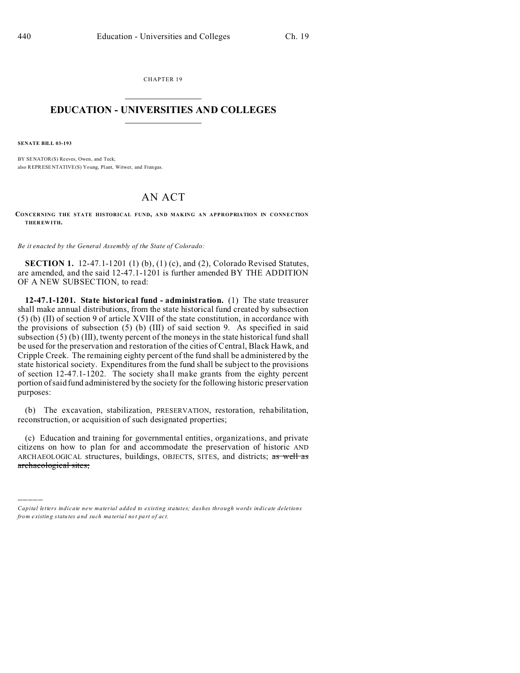CHAPTER 19  $\overline{\phantom{a}}$  , where  $\overline{\phantom{a}}$ 

## **EDUCATION - UNIVERSITIES AND COLLEGES**  $\frac{1}{2}$  ,  $\frac{1}{2}$  ,  $\frac{1}{2}$  ,  $\frac{1}{2}$  ,  $\frac{1}{2}$  ,  $\frac{1}{2}$  ,  $\frac{1}{2}$

**SENATE BILL 03-193**

)))))

BY SENATOR(S) Reeves, Owen, and Teck; also REPRESENTATIVE(S) Young, Plant, Witwer, and Frangas.

# AN ACT

**CONCERNING THE STATE HISTORICAL FUND, AND MAKING AN APPROPRIATION IN CONNECTION THER EWITH.**

*Be it enacted by the General Assembly of the State of Colorado:*

**SECTION 1.** 12-47.1-1201 (1) (b), (1) (c), and (2), Colorado Revised Statutes, are amended, and the said 12-47.1-1201 is further amended BY THE ADDITION OF A NEW SUBSECTION, to read:

**12-47.1-1201. State historical fund - administration.** (1) The state treasurer shall make annual distributions, from the state historical fund created by subsection (5) (b) (II) of section 9 of article XVIII of the state constitution, in accordance with the provisions of subsection (5) (b) (III) of said section 9. As specified in said subsection (5) (b) (III), twenty percent of the moneys in the state historical fund shall be used for the preservation and restoration of the cities of Central, Black Hawk, and Cripple Creek. The remaining eighty percent of the fund shall be administered by the state historical society. Expenditures from the fund shall be subject to the provisions of section 12-47.1-1202. The society shall make grants from the eighty percent portion of said fund administered by the society for the following historic preservation purposes:

(b) The excavation, stabilization, PRESERVATION, restoration, rehabilitation, reconstruction, or acquisition of such designated properties;

(c) Education and training for governmental entities, organizations, and private citizens on how to plan for and accommodate the preservation of historic AND ARCHAEOLOGICAL structures, buildings, OBJECTS, SITES, and districts; as well as archaeological sites;

*Capital letters indicate new material added to existing statutes; dashes through words indicate deletions from e xistin g statu tes a nd such ma teria l no t pa rt of ac t.*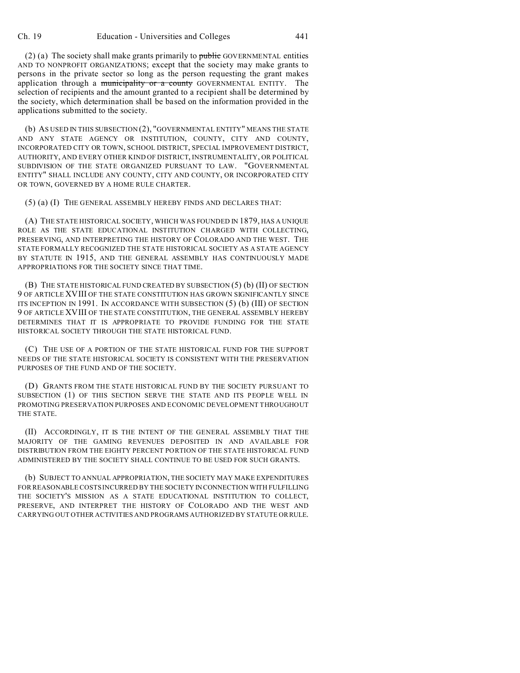$(2)$  (a) The society shall make grants primarily to public GOVERNMENTAL entities AND TO NONPROFIT ORGANIZATIONS; except that the society may make grants to persons in the private sector so long as the person requesting the grant makes application through a municipality or a county GOVERNMENTAL ENTITY. The selection of recipients and the amount granted to a recipient shall be determined by the society, which determination shall be based on the information provided in the applications submitted to the society.

(b) AS USED IN THIS SUBSECTION (2), "GOVERNMENTAL ENTITY" MEANS THE STATE AND ANY STATE AGENCY OR INSTITUTION, COUNTY, CITY AND COUNTY, INCORPORATED CITY OR TOWN, SCHOOL DISTRICT, SPECIAL IMPROVEMENT DISTRICT, AUTHORITY, AND EVERY OTHER KIND OF DISTRICT, INSTRUMENTALITY, OR POLITICAL SUBDIVISION OF THE STATE ORGANIZED PURSUANT TO LAW. "GOVERNMENTAL ENTITY" SHALL INCLUDE ANY COUNTY, CITY AND COUNTY, OR INCORPORATED CITY OR TOWN, GOVERNED BY A HOME RULE CHARTER.

(5) (a) (I) THE GENERAL ASSEMBLY HEREBY FINDS AND DECLARES THAT:

(A) THE STATE HISTORICAL SOCIETY, WHICH WAS FOUNDED IN 1879, HAS A UNIQUE ROLE AS THE STATE EDUCATIONAL INSTITUTION CHARGED WITH COLLECTING, PRESERVING, AND INTERPRETING THE HISTORY OF COLORADO AND THE WEST. THE STATE FORMALLY RECOGNIZED THE STATE HISTORICAL SOCIETY AS A STATE AGENCY BY STATUTE IN 1915, AND THE GENERAL ASSEMBLY HAS CONTINUOUSLY MADE APPROPRIATIONS FOR THE SOCIETY SINCE THAT TIME.

(B) THE STATE HISTORICAL FUND CREATED BY SUBSECTION (5) (b) (II) OF SECTION 9 OF ARTICLE XVIII OF THE STATE CONSTITUTION HAS GROWN SIGNIFICANTLY SINCE ITS INCEPTION IN 1991. IN ACCORDANCE WITH SUBSECTION (5) (b) (III) OF SECTION 9 OF ARTICLE XVIII OF THE STATE CONSTITUTION, THE GENERAL ASSEMBLY HEREBY DETERMINES THAT IT IS APPROPRIATE TO PROVIDE FUNDING FOR THE STATE HISTORICAL SOCIETY THROUGH THE STATE HISTORICAL FUND.

(C) THE USE OF A PORTION OF THE STATE HISTORICAL FUND FOR THE SUPPORT NEEDS OF THE STATE HISTORICAL SOCIETY IS CONSISTENT WITH THE PRESERVATION PURPOSES OF THE FUND AND OF THE SOCIETY.

(D) GRANTS FROM THE STATE HISTORICAL FUND BY THE SOCIETY PURSUANT TO SUBSECTION (1) OF THIS SECTION SERVE THE STATE AND ITS PEOPLE WELL IN PROMOTING PRESERVATION PURPOSES AND ECONOMIC DEVELOPMENT THROUGHOUT THE STATE.

(II) ACCORDINGLY, IT IS THE INTENT OF THE GENERAL ASSEMBLY THAT THE MAJORITY OF THE GAMING REVENUES DEPOSITED IN AND AVAILABLE FOR DISTRIBUTION FROM THE EIGHTY PERCENT PORTION OF THE STATE HISTORICAL FUND ADMINISTERED BY THE SOCIETY SHALL CONTINUE TO BE USED FOR SUCH GRANTS.

(b) SUBJECT TO ANNUAL APPROPRIATION, THE SOCIETY MAY MAKE EXPENDITURES FOR REASONABLE COSTS INCURRED BY THE SOCIETY IN CONNECTION WITH FULFILLING THE SOCIETY'S MISSION AS A STATE EDUCATIONAL INSTITUTION TO COLLECT, PRESERVE, AND INTERPRET THE HISTORY OF COLORADO AND THE WEST AND CARRYING OUT OTHER ACTIVITIES AND PROGRAMS AUTHORIZED BY STATUTE ORRULE.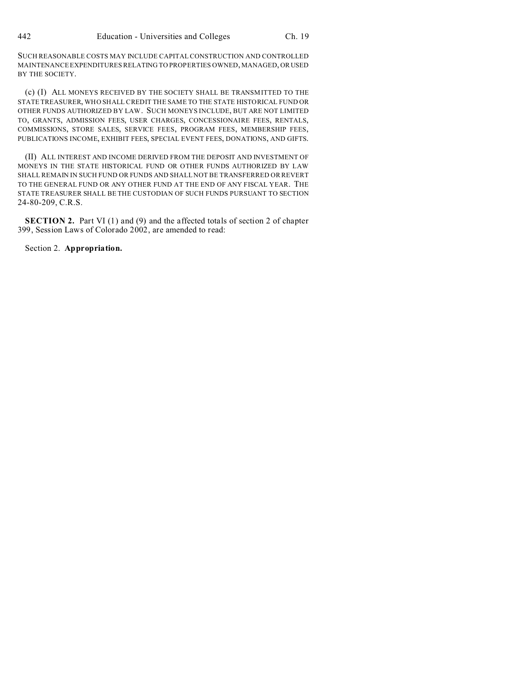SUCH REASONABLE COSTS MAY INCLUDE CAPITAL CONSTRUCTION AND CONTROLLED MAINTENANCE EXPENDITURES RELATING TO PROPERTIES OWNED, MANAGED, OR USED BY THE SOCIETY.

(c) (I) ALL MONEYS RECEIVED BY THE SOCIETY SHALL BE TRANSMITTED TO THE STATE TREASURER, WHO SHALL CREDIT THE SAME TO THE STATE HISTORICAL FUND OR OTHER FUNDS AUTHORIZED BY LAW. SUCH MONEYS INCLUDE, BUT ARE NOT LIMITED TO, GRANTS, ADMISSION FEES, USER CHARGES, CONCESSIONAIRE FEES, RENTALS, COMMISSIONS, STORE SALES, SERVICE FEES, PROGRAM FEES, MEMBERSHIP FEES, PUBLICATIONS INCOME, EXHIBIT FEES, SPECIAL EVENT FEES, DONATIONS, AND GIFTS.

(II) ALL INTEREST AND INCOME DERIVED FROM THE DEPOSIT AND INVESTMENT OF MONEYS IN THE STATE HISTORICAL FUND OR OTHER FUNDS AUTHORIZED BY LAW SHALL REMAIN IN SUCH FUND OR FUNDS AND SHALL NOT BE TRANSFERRED OR REVERT TO THE GENERAL FUND OR ANY OTHER FUND AT THE END OF ANY FISCAL YEAR. THE STATE TREASURER SHALL BE THE CUSTODIAN OF SUCH FUNDS PURSUANT TO SECTION 24-80-209, C.R.S.

**SECTION 2.** Part VI (1) and (9) and the affected totals of section 2 of chapter 399, Session Laws of Colorado 2002, are amended to read:

Section 2. **Appropriation.**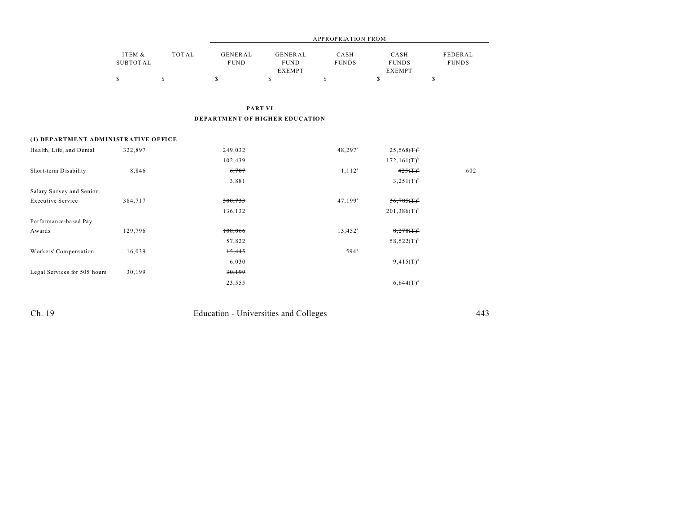|                 |       |             |               | APPROPRIATION FROM |               |              |  |
|-----------------|-------|-------------|---------------|--------------------|---------------|--------------|--|
| ITEM &          | TOTAL | GENERAL     | GENERAL       | CASH               | CASH          | FEDERAL      |  |
| <b>SUBTOTAL</b> |       | <b>FUND</b> | <b>FUND</b>   | <b>FUNDS</b>       | <b>FUNDS</b>  | <b>FUNDS</b> |  |
|                 |       |             | <b>EXEMPT</b> |                    | <b>EXEMPT</b> |              |  |
|                 |       |             |               |                    |               |              |  |

**PART VI DEPARTMENT OF HIGHER EDUCATION**

## **(1) DEPARTMENT ADMINISTRATIVE OFFICE**

| Health, Life, and Dental     | 322,897 | 249,032 | $48,297$ <sup>a</sup> | $25,568($ T $)^{\rm b}$          |     |
|------------------------------|---------|---------|-----------------------|----------------------------------|-----|
|                              |         | 102,439 |                       | $172, 161(T)^{b}$                |     |
| Short-term Disability        | 8,846   | 6,707   | $1, 112^a$            | $425(T)^{b}$                     | 602 |
|                              |         | 3,881   |                       | $3,251(T)^{b}$                   |     |
| Salary Survey and Senior     |         |         |                       |                                  |     |
| <b>Executive Service</b>     | 384,717 | 300,733 | $47,199^{\circ}$      | $36,785$ $(\text{T})^{\text{b}}$ |     |
|                              |         | 136,132 |                       | $201,386(T)$ <sup>b</sup>        |     |
| Performance-based Pay        |         |         |                       |                                  |     |
| Awards                       | 129,796 | 108,066 | $13,452^{\circ}$      | $8,278(T)^b$                     |     |
|                              |         | 57,822  |                       | $58,522(T)^{b}$                  |     |
| Workers' Compensation        | 16,039  | 15,445  | $594$ <sup>a</sup>    |                                  |     |
|                              |         | 6,030   |                       | $9,415(T)^d$                     |     |
| Legal Services for 505 hours | 30,199  | 30,199  |                       |                                  |     |
|                              |         | 23,555  |                       | $6,644(T)^d$                     |     |

Ch. 19 Education - Universities and Colleges 443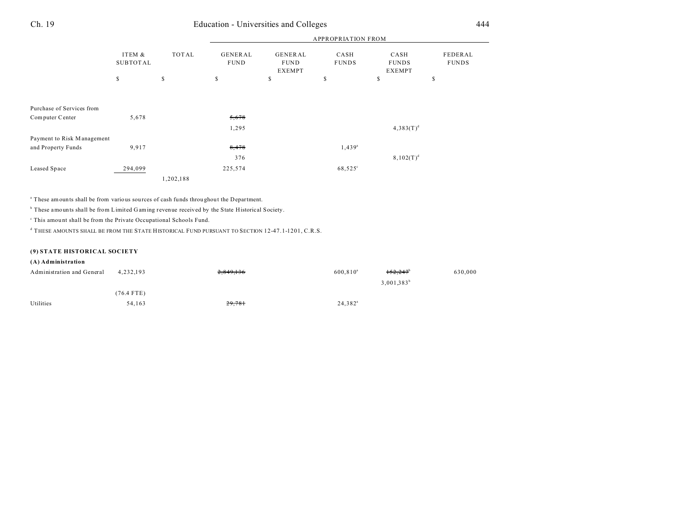# Ch. 19 Education - Universities and Colleges 444

|                                              |                    |              |                        | <b>APPROPRIATION FROM</b>        |                      |                                       |                         |  |  |
|----------------------------------------------|--------------------|--------------|------------------------|----------------------------------|----------------------|---------------------------------------|-------------------------|--|--|
|                                              | ITEM &<br>SUBTOTAL | TOTAL        | GENERAL<br><b>FUND</b> | GENERAL<br><b>FUND</b><br>EXEMPT | CASH<br><b>FUNDS</b> | CASH<br><b>FUNDS</b><br><b>EXEMPT</b> | FEDERAL<br><b>FUNDS</b> |  |  |
|                                              | $\mathbb S$        | $\mathbb{S}$ | \$                     | \$                               | $\mathbb S$          | \$                                    | \$                      |  |  |
| Purchase of Services from<br>Computer Center | 5,678              |              | 5,678<br>1,295         |                                  |                      | $4,383(T)^d$                          |                         |  |  |
| Payment to Risk Management                   |                    |              |                        |                                  |                      |                                       |                         |  |  |
| and Property Funds                           | 9,917              |              | 8,478                  |                                  | $1,439^a$            |                                       |                         |  |  |
|                                              |                    |              | 376                    |                                  |                      | $8,102(T)^d$                          |                         |  |  |
| Leased Space                                 | 294,099            |              | 225,574                |                                  | 68,525°              |                                       |                         |  |  |
|                                              |                    | 1,202,188    |                        |                                  |                      |                                       |                         |  |  |

<sup>a</sup> These amounts shall be from various sources of cash funds throughout the Department.

<sup>b</sup> These amounts shall be from Limited Gaming revenue received by the State Historical Society.

<sup>c</sup> This amount shall be from the Private Occupational Schools Fund.

d THESE AMOUNTS SHALL BE FROM THE STATE HISTORICAL FUND PURSUANT TO SECTION 12-47.1-1201, C.R.S.

### **(9) STATE HISTORICAL SOCIETY**

### **(A) Administration**

| Administration and General | 4.232.193  | 2,849,136 | $600.810^a$      | $152,247$ <sup>b</sup> | 630,000 |
|----------------------------|------------|-----------|------------------|------------------------|---------|
|                            |            |           |                  | $3,001,383^b$          |         |
|                            | (76.4 FTE) |           |                  |                        |         |
| Utilities                  | 54.163     | 29,781    | $24,382^{\circ}$ |                        |         |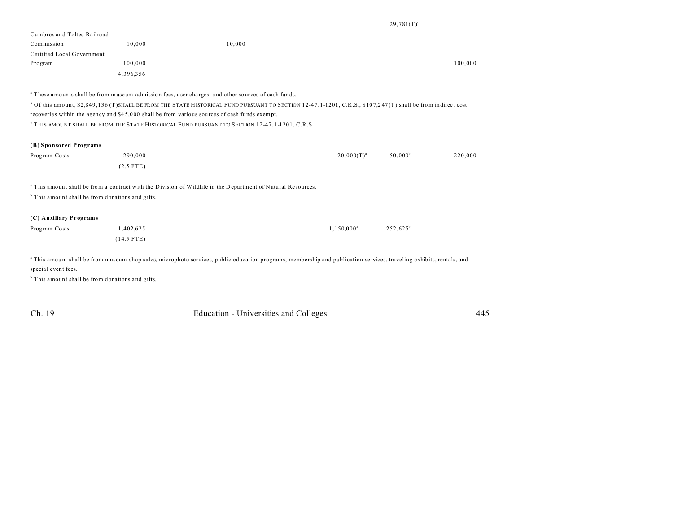#### $29,781(T)^c$

| Cumbres and Toltec Railroad |           |        |         |
|-----------------------------|-----------|--------|---------|
| Commission                  | 10,000    | 10,000 |         |
| Certified Local Government  |           |        |         |
| Program                     | 100,000   |        | 100,000 |
|                             | 4,396,356 |        |         |

a These amounts shall be from museum admission fees, user cha rges, a nd other sources of ca sh funds.

<sup>b</sup> Of this amount, \$2,849,136 (T)SHALL BE FROM THE STATE HISTORICAL FUND PURSUANT TO SECTION 12-47.1-1201, C.R.S., \$107,247(T) shall be from indirect cost recoveries within the agency and \$4 5,0 00 shall be from various sou rces of cash funds exempt.

c THIS AMOUNT SHALL BE FROM THE STATE HISTORICAL FUND PURSUANT TO SECTION 12-47.1-1201, C.R.S.

#### **(B) Sponsored Programs**

| Program Costs | 290,000     | $20,000(T)^{a}$ | $50,000^{\rm b}$ | 220,000 |
|---------------|-------------|-----------------|------------------|---------|
|               | $(2.5$ FTE) |                 |                  |         |

<sup>a</sup> This amount shall be from a contract with the Division of Wildlife in the Department of Natural Resources.

<sup>b</sup> This amount shall be from donations and gifts.

### **(C) Auxiliary Programs**

| Program Costs | 1,402,625  | $1.150.000^{\circ}$ | $252,625^{\circ}$ |
|---------------|------------|---------------------|-------------------|
|               | (14.5 FTE) |                     |                   |

<sup>a</sup> This amount shall be from museum shop sales, microphoto services, public education programs, membership and publication services, traveling exhibits, rentals, and special event fees.

<sup>b</sup> This amount shall be from donations and gifts.

Ch. 19 Education - Universities and Colleges 445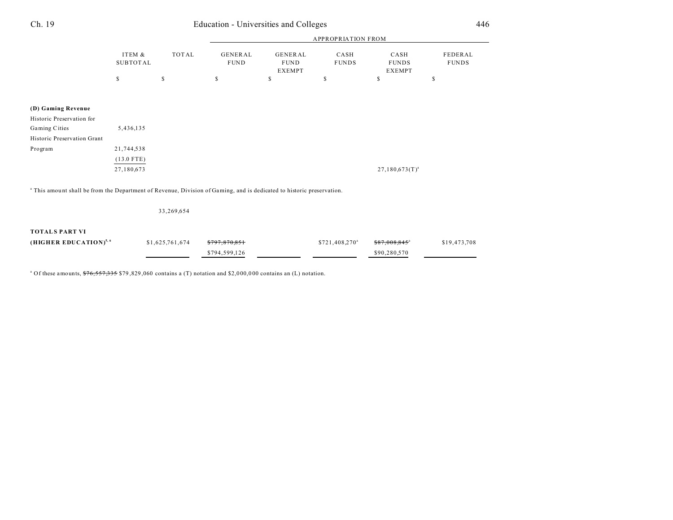| Ch. 19                                                                                                                           | Education - Universities and Colleges |                 |                                |                                                |                            |                                       | 446                     |
|----------------------------------------------------------------------------------------------------------------------------------|---------------------------------------|-----------------|--------------------------------|------------------------------------------------|----------------------------|---------------------------------------|-------------------------|
|                                                                                                                                  |                                       |                 |                                |                                                | <b>APPROPRIATION FROM</b>  |                                       |                         |
|                                                                                                                                  | ITEM &<br><b>SUBTOTAL</b>             | <b>TOTAL</b>    | <b>GENERAL</b><br>${\tt FUND}$ | <b>GENERAL</b><br><b>FUND</b><br><b>EXEMPT</b> | CASH<br><b>FUNDS</b>       | CASH<br><b>FUNDS</b><br><b>EXEMPT</b> | FEDERAL<br><b>FUNDS</b> |
|                                                                                                                                  | $\mathbb{S}$                          | $\mathbb{S}$    | \$                             | $\mathbb{S}$                                   | \$                         | \$                                    | \$                      |
| (D) Gaming Revenue                                                                                                               |                                       |                 |                                |                                                |                            |                                       |                         |
| Historic Preservation for                                                                                                        |                                       |                 |                                |                                                |                            |                                       |                         |
| Gaming Cities                                                                                                                    | 5,436,135                             |                 |                                |                                                |                            |                                       |                         |
| Historic Preservation Grant                                                                                                      |                                       |                 |                                |                                                |                            |                                       |                         |
| Program                                                                                                                          | 21,744,538                            |                 |                                |                                                |                            |                                       |                         |
|                                                                                                                                  | $(13.0$ FTE)                          |                 |                                |                                                |                            |                                       |                         |
|                                                                                                                                  | 27,180,673                            |                 |                                |                                                |                            | $27,180,673(T)^{a}$                   |                         |
| <sup>a</sup> This amount shall be from the Department of Revenue, Division of Gaming, and is dedicated to historic preservation. |                                       |                 |                                |                                                |                            |                                       |                         |
|                                                                                                                                  |                                       | 33,269,654      |                                |                                                |                            |                                       |                         |
| <b>TOTALS PART VI</b>                                                                                                            |                                       |                 |                                |                                                |                            |                                       |                         |
| (HIGHER EDUCATION) <sup>5, 6</sup>                                                                                               |                                       | \$1,625,761,674 |                                |                                                | \$721,408,270 <sup>a</sup> | \$87.008.845                          | \$19,473,708            |

\$794,599,126 \$90,280,570

<sup>a</sup> Of these amounts,  $\frac{676}{557,335}$  \$79,829,060 contains a (T) notation and \$2,000,000 contains an (L) notation.